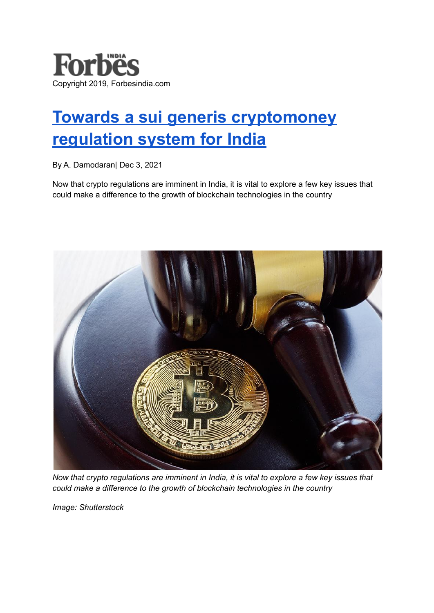

## **Towards a sui generis [cryptomoney](https://www.forbesindia.com/article/iim-bangalore/towards-a-sui-generis-cryptomoney-regulation-system-for-india/71969/1) [regulation](https://www.forbesindia.com/article/iim-bangalore/towards-a-sui-generis-cryptomoney-regulation-system-for-india/71969/1) system for India**

By A. Damodaran| Dec 3, 2021

Now that crypto regulations are imminent in India, it is vital to explore a few key issues that could make a difference to the growth of blockchain technologies in the country



*Now that crypto regulations are imminent in India, it is vital to explore a few key issues that could make a difference to the growth of blockchain technologies in the country*

*Image: Shutterstock*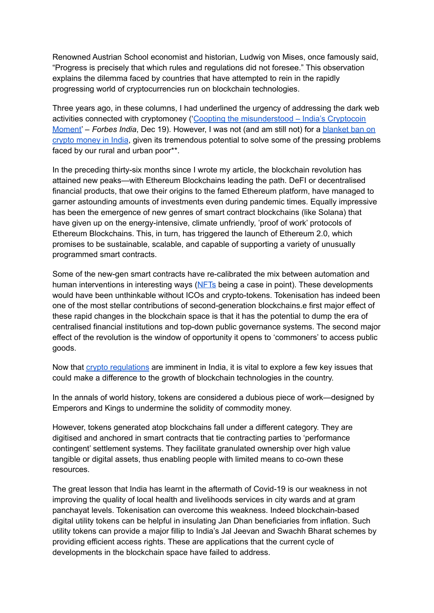Renowned Austrian School economist and historian, Ludwig von Mises, once famously said, "Progress is precisely that which rules and regulations did not foresee." This observation explains the dilemma faced by countries that have attempted to rein in the rapidly progressing world of cryptocurrencies run on blockchain technologies.

Three years ago, in these columns, I had underlined the urgency of addressing the dark web activities connected with cryptomoney ('Coopting the [misunderstood](https://www.forbesindia.com/article/iim-bangalore/coopting-the-misunderstood-india039s-cryptocoin-moment/52073/1) – India's Cryptocoin [Moment'](https://www.forbesindia.com/article/iim-bangalore/coopting-the-misunderstood-india039s-cryptocoin-moment/52073/1) – *Forbes India*, Dec 19). However, I was not (and am still not) for a [blanket](https://www.forbesindia.com/article/take-one-big-story-of-the-day/blanket-ban-unlikely-keep-calm-and-crypto-on/71761/1) ban on crypto [money](https://www.forbesindia.com/article/take-one-big-story-of-the-day/blanket-ban-unlikely-keep-calm-and-crypto-on/71761/1) in India, given its tremendous potential to solve some of the pressing problems faced by our rural and urban poor\*\*.

In the preceding thirty-six months since I wrote my article, the blockchain revolution has attained new peaks—with Ethereum Blockchains leading the path. DeFI or decentralised financial products, that owe their origins to the famed Ethereum platform, have managed to garner astounding amounts of investments even during pandemic times. Equally impressive has been the emergence of new genres of smart contract blockchains (like Solana) that have given up on the energy-intensive, climate unfriendly, 'proof of work' protocols of Ethereum Blockchains. This, in turn, has triggered the launch of Ethereum 2.0, which promises to be sustainable, scalable, and capable of supporting a variety of unusually programmed smart contracts.

Some of the new-gen smart contracts have re-calibrated the mix between automation and human interventions in interesting ways [\(NFTs](https://www.forbesindia.com/article/luxury-2021/to-buy-or-not-to-buy-your-definite-guide-to-nft-investing/70851/1) being a case in point). These developments would have been unthinkable without ICOs and crypto-tokens. Tokenisation has indeed been one of the most stellar contributions of second-generation blockchains.e first major effect of these rapid changes in the blockchain space is that it has the potential to dump the era of centralised financial institutions and top-down public governance systems. The second major effect of the revolution is the window of opportunity it opens to 'commoners' to access public goods.

Now that crypto [regulations](https://www.forbesindia.com/article/news-by-numbers/why-india-wants-to-regulate-cryptocurrency/71753/1) are imminent in India, it is vital to explore a few key issues that could make a difference to the growth of blockchain technologies in the country.

In the annals of world history, tokens are considered a dubious piece of work—designed by Emperors and Kings to undermine the solidity of commodity money.

However, tokens generated atop blockchains fall under a different category. They are digitised and anchored in smart contracts that tie contracting parties to 'performance contingent' settlement systems. They facilitate granulated ownership over high value tangible or digital assets, thus enabling people with limited means to co-own these resources.

The great lesson that India has learnt in the aftermath of Covid-19 is our weakness in not improving the quality of local health and livelihoods services in city wards and at gram panchayat levels. Tokenisation can overcome this weakness. Indeed blockchain-based digital utility tokens can be helpful in insulating Jan Dhan beneficiaries from inflation. Such utility tokens can provide a major fillip to India's Jal Jeevan and Swachh Bharat schemes by providing efficient access rights. These are applications that the current cycle of developments in the blockchain space have failed to address.